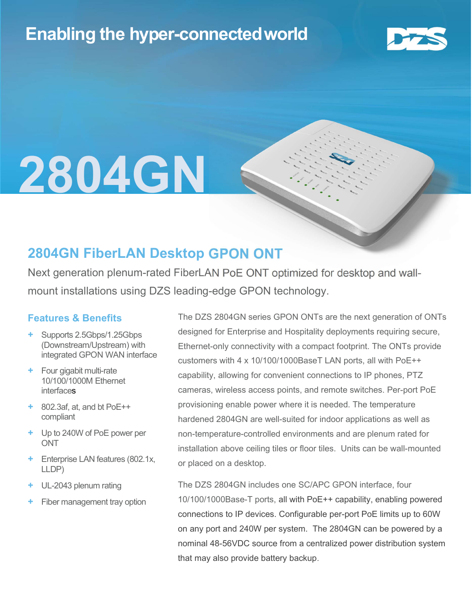## Enabling the hyper-connectedworld



## l 2804GN

### 2804GN FiberLAN Desktop GPON ONT

Next generation plenum-rated FiberLAN PoE ONT optimized for desktop and wallmount installations using DZS leading-edge GPON technology.

#### Features & Benefits

- Supports 2.5Gbps/1.25Gbps (Downstream/Upstream) with integrated GPON WAN interface
- + Four gigabit multi-rate 10/100/1000M Ethernet interfaces
- $+$  802.3af, at, and bt PoE $++$ compliant
- + Up to 240W of PoE power per **ONT**
- + Enterprise LAN features (802.1x, LLDP)
- UL-2043 plenum rating
- Fiber management tray option

The DZS 2804GN series GPON ONTs are the next generation of ONTs designed for Enterprise and Hospitality deployments requiring secure, Ethernet-only connectivity with a compact footprint. The ONTs provide customers with 4 x 10/100/1000BaseT LAN ports, all with PoE++ capability, allowing for convenient connections to IP phones, PTZ cameras, wireless access points, and remote switches. Per-port PoE provisioning enable power where it is needed. The temperature hardened 2804GN are well-suited for indoor applications as well as non-temperature-controlled environments and are plenum rated for installation above ceiling tiles or floor tiles. Units can be wall-mounted or placed on a desktop.

The DZS 2804GN includes one SC/APC GPON interface, four 10/100/1000Base-T ports, all with PoE++ capability, enabling powered connections to IP devices. Configurable per-port PoE limits up to 60W on any port and 240W per system. The 2804GN can be powered by a nominal 48-56VDC source from a centralized power distribution system that may also provide battery backup.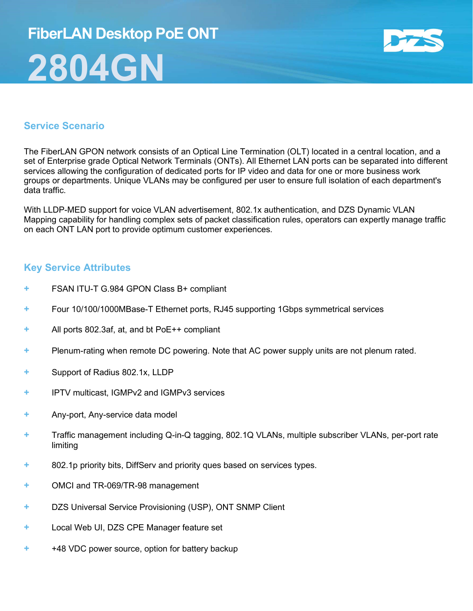# FiberLAN Desktop PoE ONT 2804GN



#### Service Scenario

The FiberLAN GPON network consists of an Optical Line Termination (OLT) located in a central location, and a set of Enterprise grade Optical Network Terminals (ONTs). All Ethernet LAN ports can be separated into different services allowing the configuration of dedicated ports for IP video and data for one or more business work groups or departments. Unique VLANs may be configured per user to ensure full isolation of each department's data traffic.

With LLDP-MED support for voice VLAN advertisement, 802.1x authentication, and DZS Dynamic VLAN Mapping capability for handling complex sets of packet classification rules, operators can expertly manage traffic on each ONT LAN port to provide optimum customer experiences.

#### Key Service Attributes

- FSAN ITU-T G.984 GPON Class B+ compliant
- + Four 10/100/1000MBase-T Ethernet ports, RJ45 supporting 1Gbps symmetrical services
- + All ports 802.3af, at, and bt PoE++ compliant
- + Plenum-rating when remote DC powering. Note that AC power supply units are not plenum rated.
- + Support of Radius 802.1x, LLDP
- + IPTV multicast, IGMPv2 and IGMPv3 services
- + Any-port, Any-service data model
- + Traffic management including Q-in-Q tagging, 802.1Q VLANs, multiple subscriber VLANs, per-port rate limiting
- + 802.1p priority bits, DiffServ and priority ques based on services types.
- + OMCI and TR-069/TR-98 management
- + DZS Universal Service Provisioning (USP), ONT SNMP Client
- + Local Web UI, DZS CPE Manager feature set
- + +48 VDC power source, option for battery backup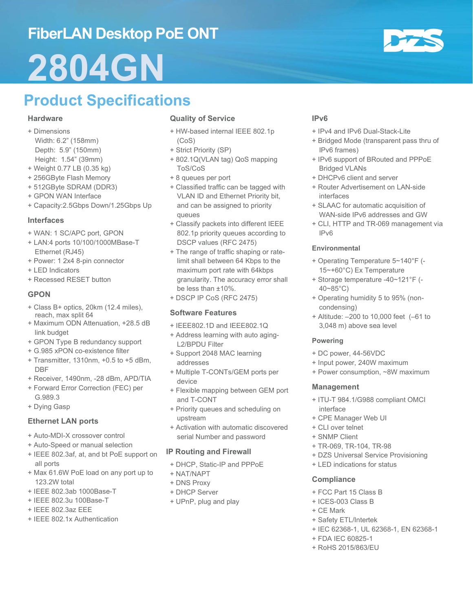## FiberLAN Desktop PoE ONT

# 2804GN

## Product Specifications

#### **Hardware**

- + Dimensions Width: 6.2" (158mm) Depth: 5.9" (150mm) Height: 1.54" (39mm)
- + Weight 0.77 LB (0.35 kg)
- + 256GByte Flash Memory
- + 512GByte SDRAM (DDR3)
- + GPON WAN Interface
- + Capacity:2.5Gbps Down/1.25Gbps Up

#### Interfaces

- + WAN: 1 SC/APC port, GPON
- + LAN:4 ports 10/100/1000MBase-T Ethernet (RJ45)
- + Power: 1 2x4 8-pin connector
- + LED Indicators
- + Recessed RESET button

#### GPON

- + Class B+ optics, 20km (12.4 miles), reach, max split 64
- + Maximum ODN Attenuation, +28.5 dB link budget
- + GPON Type B redundancy support
- + G.985 xPON co-existence filter
- + Transmitter, 1310nm, +0.5 to +5 dBm, DBF
- + Receiver, 1490nm, -28 dBm, APD/TIA
- + Forward Error Correction (FEC) per G.989.3
- + Dying Gasp

#### Ethernet LAN ports

- + Auto-MDI-X crossover control
- + Auto-Speed or manual selection
- + IEEE 802.3af, at, and bt PoE support on all ports
- + Max 61.6W PoE load on any port up to 123.2W total
- + IEEE 802.3ab 1000Base-T
- + IEEE 802.3u 100Base-T
- + IEEE 802.3az EEE
- + IEEE 802.1x Authentication

#### Quality of Service

- + HW-based internal IEEE 802.1p (CoS)
- + Strict Priority (SP)
- + 802.1Q(VLAN tag) QoS mapping ToS/CoS
- + 8 queues per port
- + Classified traffic can be tagged with VLAN ID and Ethernet Priority bit, and can be assigned to priority queues
- + Classify packets into different IEEE 802.1p priority queues according to DSCP values (RFC 2475)
- + The range of traffic shaping or ratelimit shall between 64 Kbps to the maximum port rate with 64kbps granularity. The accuracy error shall be less than ±10%.
- + DSCP IP CoS (RFC 2475)

#### Software Features

- + IEEE802.1D and IEEE802.1Q
- + Address learning with auto aging-L2/BPDU Filter
- + Support 2048 MAC learning addresses
- + Multiple T-CONTs/GEM ports per device
- + Flexible mapping between GEM port and T-CONT
- + Priority queues and scheduling on upstream
- + Activation with automatic discovered serial Number and password

#### IP Routing and Firewall

- + DHCP, Static-IP and PPPoE
- + NAT/NAPT
- + DNS Proxy
- + DHCP Server
- + UPnP, plug and play

#### IPv6

- + IPv4 and IPv6 Dual-Stack-Lite
- + Bridged Mode (transparent pass thru of IPv6 frames)
- + IPv6 support of BRouted and PPPoE Bridged VLANs
- + DHCPv6 client and server
- + Router Advertisement on LAN-side interfaces
- + SLAAC for automatic acquisition of WAN-side IPv6 addresses and GW
- + CLI, HTTP and TR-069 management via IPv6

#### **Environmental**

- + Operating Temperature 5~140°F (- 15~+60°C) Ex Temperature
- + Storage temperature -40~121°F (- 40~85°C)
- + Operating humidity 5 to 95% (noncondensing)
- + Altitude: –200 to 10,000 feet (–61 to 3,048 m) above sea level

#### Powering

- + DC power, 44-56VDC
- + Input power, 240W maximum
- + Power consumption, ~8W maximum

#### Management

- + ITU-T 984.1/G988 compliant OMCI interface
- + CPE Manager Web UI
- + CLI over telnet
- + SNMP Client
- + TR-069, TR-104, TR-98
- + DZS Universal Service Provisioning
- + LED indications for status

#### **Compliance**

- + FCC Part 15 Class B
- + ICES-003 Class B
- + CE Mark
- + Safety ETL/Intertek
- + IEC 62368-1, UL 62368-1, EN 62368-1
- + FDA IEC 60825-1
- + RoHS 2015/863/EU